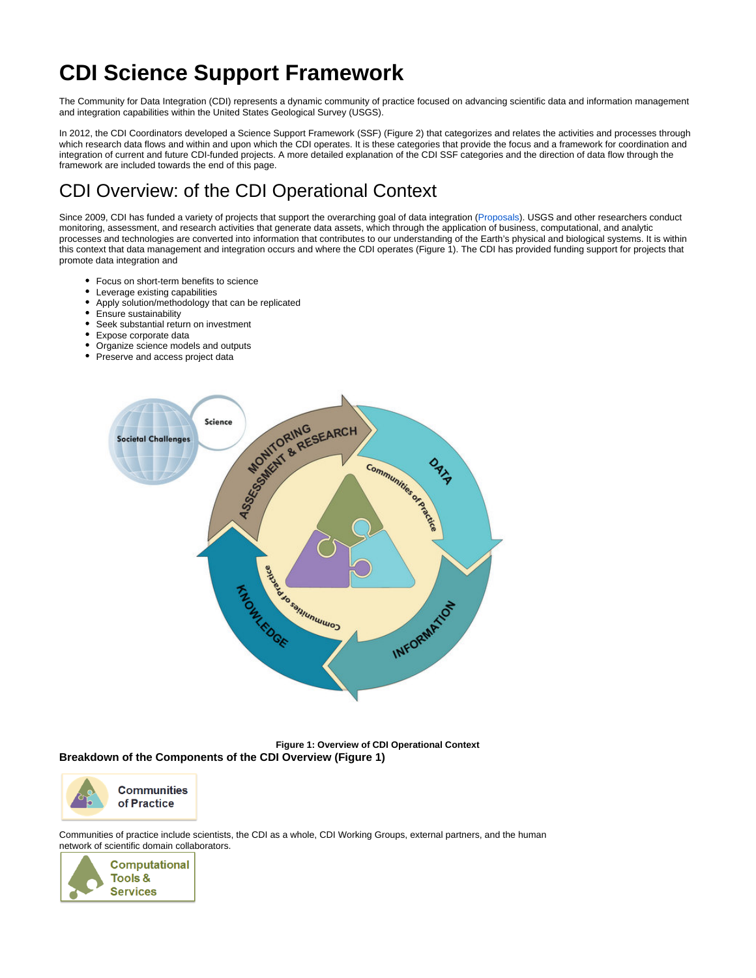# **CDI Science Support Framework**

The Community for Data Integration (CDI) represents a dynamic community of practice focused on advancing scientific data and information management and integration capabilities within the United States Geological Survey (USGS).

In 2012, the CDI Coordinators developed a Science Support Framework (SSF) (Figure 2) that categorizes and relates the activities and processes through which research data flows and within and upon which the CDI operates. It is these categories that provide the focus and a framework for coordination and integration of current and future CDI-funded projects. A more detailed explanation of the CDI SSF categories and the direction of data flow through the framework are included towards the end of this page.

## CDI Overview: of the CDI Operational Context

Since 2009, CDI has funded a variety of projects that support the overarching goal of data integration [\(Proposals\)](https://my.usgs.gov/confluence/display/cdi/Proposals). USGS and other researchers conduct monitoring, assessment, and research activities that generate data assets, which through the application of business, computational, and analytic processes and technologies are converted into information that contributes to our understanding of the Earth's physical and biological systems. It is within this context that data management and integration occurs and where the CDI operates (Figure 1). The CDI has provided funding support for projects that promote data integration and

- Focus on short-term benefits to science
- Leverage existing capabilities
- $\bullet$ Apply solution/methodology that can be replicated
- Ensure sustainability
- Seek substantial return on investment
- Expose corporate data
- Organize science models and outputs
- Preserve and access project data



**Figure 1: Overview of CDI Operational Context Breakdown of the Components of the CDI Overview (Figure 1)**



**Communities** of Practice

Communities of practice include scientists, the CDI as a whole, CDI Working Groups, external partners, and the human network of scientific domain collaborators.

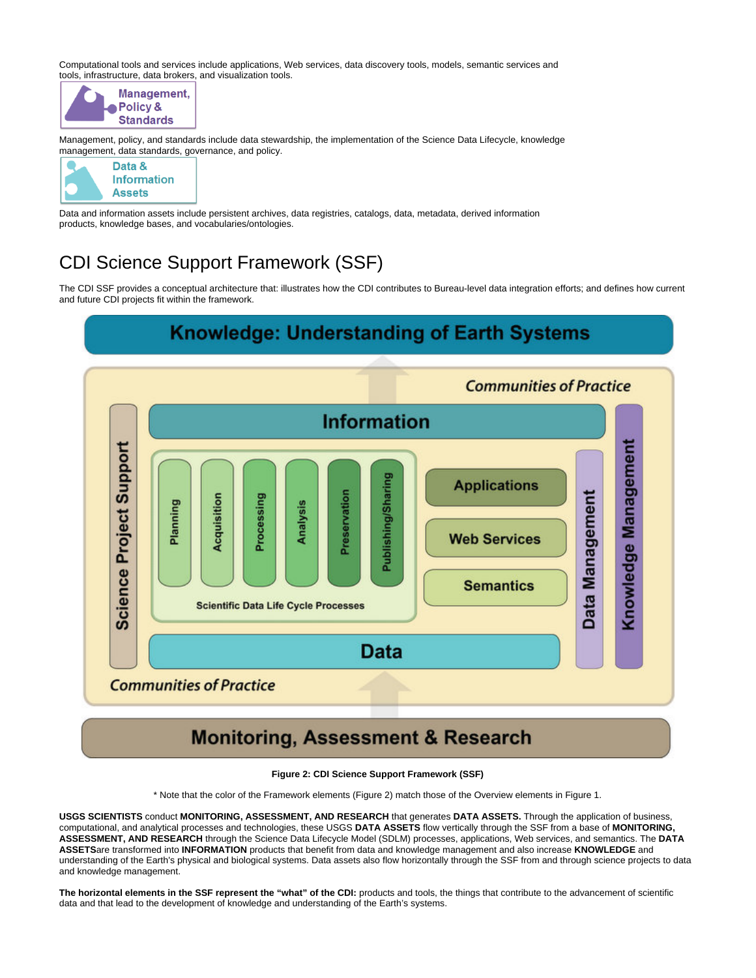Computational tools and services include applications, Web services, data discovery tools, models, semantic services and tools, infrastructure, data brokers, and visualization tools.



Management, policy, and standards include data stewardship, the implementation of the Science Data Lifecycle, knowledge management, data standards, governance, and policy.



Data and information assets include persistent archives, data registries, catalogs, data, metadata, derived information products, knowledge bases, and vocabularies/ontologies.

## CDI Science Support Framework (SSF)

The CDI SSF provides a conceptual architecture that: illustrates how the CDI contributes to Bureau-level data integration efforts; and defines how current and future CDI projects fit within the framework.



## **Monitoring, Assessment & Research**

### **Figure 2: CDI Science Support Framework (SSF)**

\* Note that the color of the Framework elements (Figure 2) match those of the Overview elements in Figure 1.

**USGS SCIENTISTS** conduct **MONITORING, ASSESSMENT, AND RESEARCH** that generates **DATA ASSETS.** Through the application of business, computational, and analytical processes and technologies, these USGS **DATA ASSETS** flow vertically through the SSF from a base of **MONITORING, ASSESSMENT, AND RESEARCH** through the Science Data Lifecycle Model (SDLM) processes, applications, Web services, and semantics. The **DATA ASSETS**are transformed into **INFORMATION** products that benefit from data and knowledge management and also increase **KNOWLEDGE** and understanding of the Earth's physical and biological systems. Data assets also flow horizontally through the SSF from and through science projects to data and knowledge management.

**The horizontal elements in the SSF represent the "what" of the CDI:** products and tools, the things that contribute to the advancement of scientific data and that lead to the development of knowledge and understanding of the Earth's systems.